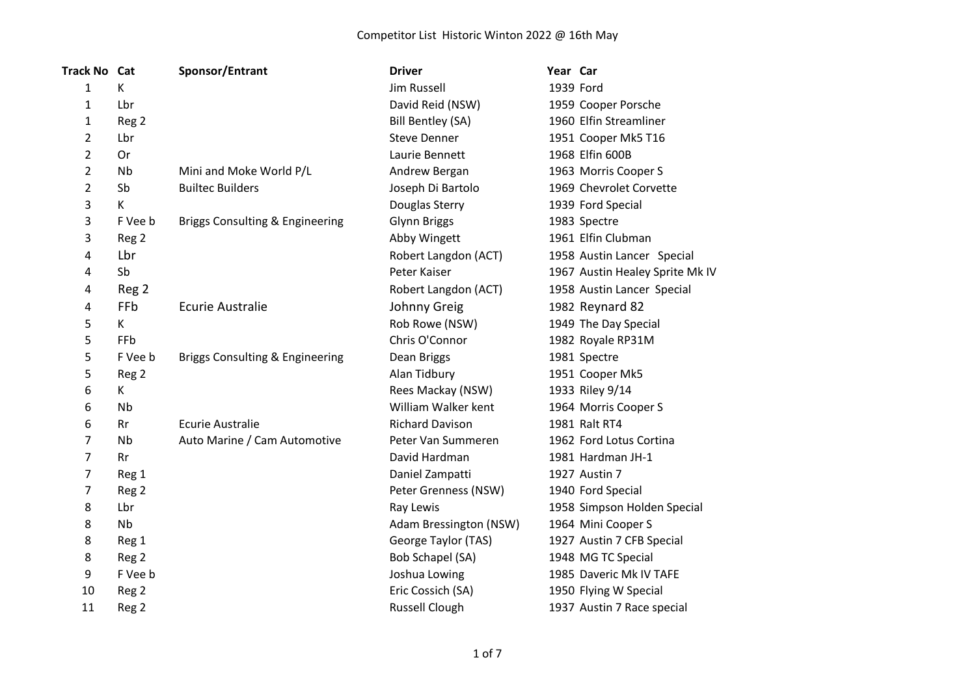| <b>Track No Cat</b> |           | Sponsor/Entrant                            | <b>Driver</b>          | Year Car |                                 |
|---------------------|-----------|--------------------------------------------|------------------------|----------|---------------------------------|
| 1                   | К         |                                            | Jim Russell            |          | 1939 Ford                       |
| 1                   | Lbr       |                                            | David Reid (NSW)       |          | 1959 Cooper Porsche             |
| 1                   | Reg 2     |                                            | Bill Bentley (SA)      |          | 1960 Elfin Streamliner          |
| $\overline{2}$      | Lbr       |                                            | <b>Steve Denner</b>    |          | 1951 Cooper Mk5 T16             |
| 2                   | Or        |                                            | Laurie Bennett         |          | 1968 Elfin 600B                 |
| 2                   | <b>Nb</b> | Mini and Moke World P/L                    | Andrew Bergan          |          | 1963 Morris Cooper S            |
| $\overline{2}$      | Sb        | <b>Builtec Builders</b>                    | Joseph Di Bartolo      |          | 1969 Chevrolet Corvette         |
| 3                   | K         |                                            | Douglas Sterry         |          | 1939 Ford Special               |
| 3                   | F Vee b   | <b>Briggs Consulting &amp; Engineering</b> | <b>Glynn Briggs</b>    |          | 1983 Spectre                    |
| 3                   | Reg 2     |                                            | Abby Wingett           |          | 1961 Elfin Clubman              |
| 4                   | Lbr       |                                            | Robert Langdon (ACT)   |          | 1958 Austin Lancer Special      |
| 4                   | Sb        |                                            | Peter Kaiser           |          | 1967 Austin Healey Sprite Mk IV |
| 4                   | Reg 2     |                                            | Robert Langdon (ACT)   |          | 1958 Austin Lancer Special      |
| 4                   | FFb       | <b>Ecurie Australie</b>                    | Johnny Greig           |          | 1982 Reynard 82                 |
| 5                   | К         |                                            | Rob Rowe (NSW)         |          | 1949 The Day Special            |
| 5                   | FFb       |                                            | Chris O'Connor         |          | 1982 Royale RP31M               |
| 5                   | F Vee b   | Briggs Consulting & Engineering            | Dean Briggs            |          | 1981 Spectre                    |
| 5                   | Reg 2     |                                            | Alan Tidbury           |          | 1951 Cooper Mk5                 |
| 6                   | К         |                                            | Rees Mackay (NSW)      |          | 1933 Riley 9/14                 |
| 6                   | <b>Nb</b> |                                            | William Walker kent    |          | 1964 Morris Cooper S            |
| 6                   | Rr        | <b>Ecurie Australie</b>                    | <b>Richard Davison</b> |          | 1981 Ralt RT4                   |
| 7                   | Nb        | Auto Marine / Cam Automotive               | Peter Van Summeren     |          | 1962 Ford Lotus Cortina         |
| 7                   | Rr        |                                            | David Hardman          |          | 1981 Hardman JH-1               |
| 7                   | Reg 1     |                                            | Daniel Zampatti        |          | 1927 Austin 7                   |
| $\overline{7}$      | Reg 2     |                                            | Peter Grenness (NSW)   |          | 1940 Ford Special               |
| 8                   | Lbr       |                                            | Ray Lewis              |          | 1958 Simpson Holden Special     |
| 8                   | <b>Nb</b> |                                            | Adam Bressington (NSW) |          | 1964 Mini Cooper S              |
| 8                   | Reg 1     |                                            | George Taylor (TAS)    |          | 1927 Austin 7 CFB Special       |
| 8                   | Reg 2     |                                            | Bob Schapel (SA)       |          | 1948 MG TC Special              |
| 9                   | F Vee b   |                                            | Joshua Lowing          |          | 1985 Daveric Mk IV TAFE         |
| 10                  | Reg 2     |                                            | Eric Cossich (SA)      |          | 1950 Flying W Special           |
| 11                  | Reg 2     |                                            | <b>Russell Clough</b>  |          | 1937 Austin 7 Race special      |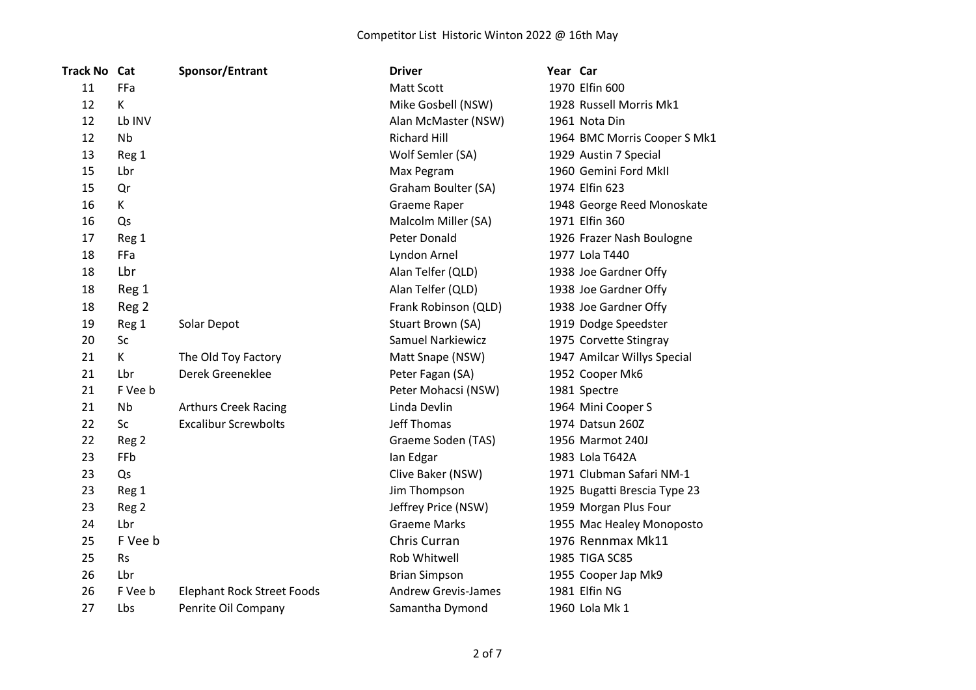| <b>Track No Cat</b> |           | Sponsor/Entrant                   | <b>Driver</b>              | Year Car                     |
|---------------------|-----------|-----------------------------------|----------------------------|------------------------------|
| 11                  | FFa       |                                   | Matt Scott                 | 1970 Elfin 600               |
| 12                  | К         |                                   | Mike Gosbell (NSW)         | 1928 Russell Morris Mk1      |
| 12                  | Lb INV    |                                   | Alan McMaster (NSW)        | 1961 Nota Din                |
| 12                  | <b>Nb</b> |                                   | <b>Richard Hill</b>        | 1964 BMC Morris Cooper S Mk1 |
| 13                  | Reg 1     |                                   | Wolf Semler (SA)           | 1929 Austin 7 Special        |
| 15                  | Lbr       |                                   | Max Pegram                 | 1960 Gemini Ford MkII        |
| 15                  | Qr        |                                   | Graham Boulter (SA)        | 1974 Elfin 623               |
| 16                  | К         |                                   | Graeme Raper               | 1948 George Reed Monoskate   |
| 16                  | Qs        |                                   | Malcolm Miller (SA)        | 1971 Elfin 360               |
| 17                  | Reg 1     |                                   | Peter Donald               | 1926 Frazer Nash Boulogne    |
| 18                  | FFa       |                                   | Lyndon Arnel               | 1977 Lola T440               |
| 18                  | Lbr       |                                   | Alan Telfer (QLD)          | 1938 Joe Gardner Offy        |
| 18                  | Reg 1     |                                   | Alan Telfer (QLD)          | 1938 Joe Gardner Offy        |
| 18                  | Reg 2     |                                   | Frank Robinson (QLD)       | 1938 Joe Gardner Offy        |
| 19                  | Reg 1     | Solar Depot                       | Stuart Brown (SA)          | 1919 Dodge Speedster         |
| 20                  | Sc        |                                   | <b>Samuel Narkiewicz</b>   | 1975 Corvette Stingray       |
| 21                  | K         | The Old Toy Factory               | Matt Snape (NSW)           | 1947 Amilcar Willys Special  |
| 21                  | Lbr       | Derek Greeneklee                  | Peter Fagan (SA)           | 1952 Cooper Mk6              |
| 21                  | F Vee b   |                                   | Peter Mohacsi (NSW)        | 1981 Spectre                 |
| 21                  | <b>Nb</b> | <b>Arthurs Creek Racing</b>       | Linda Devlin               | 1964 Mini Cooper S           |
| 22                  | Sc        | <b>Excalibur Screwbolts</b>       | <b>Jeff Thomas</b>         | 1974 Datsun 260Z             |
| 22                  | Reg 2     |                                   | Graeme Soden (TAS)         | 1956 Marmot 240J             |
| 23                  | FFb       |                                   | lan Edgar                  | 1983 Lola T642A              |
| 23                  | Qs        |                                   | Clive Baker (NSW)          | 1971 Clubman Safari NM-1     |
| 23                  | Reg 1     |                                   | Jim Thompson               | 1925 Bugatti Brescia Type 23 |
| 23                  | Reg 2     |                                   | Jeffrey Price (NSW)        | 1959 Morgan Plus Four        |
| 24                  | Lbr       |                                   | <b>Graeme Marks</b>        | 1955 Mac Healey Monoposto    |
| 25                  | F Vee b   |                                   | Chris Curran               | 1976 Rennmax Mk11            |
| 25                  | <b>Rs</b> |                                   | Rob Whitwell               | 1985 TIGA SC85               |
| 26                  | Lbr       |                                   | <b>Brian Simpson</b>       | 1955 Cooper Jap Mk9          |
| 26                  | F Vee b   | <b>Elephant Rock Street Foods</b> | <b>Andrew Grevis-James</b> | 1981 Elfin NG                |
| 27                  | Lbs       | Penrite Oil Company               | Samantha Dymond            | 1960 Lola Mk 1               |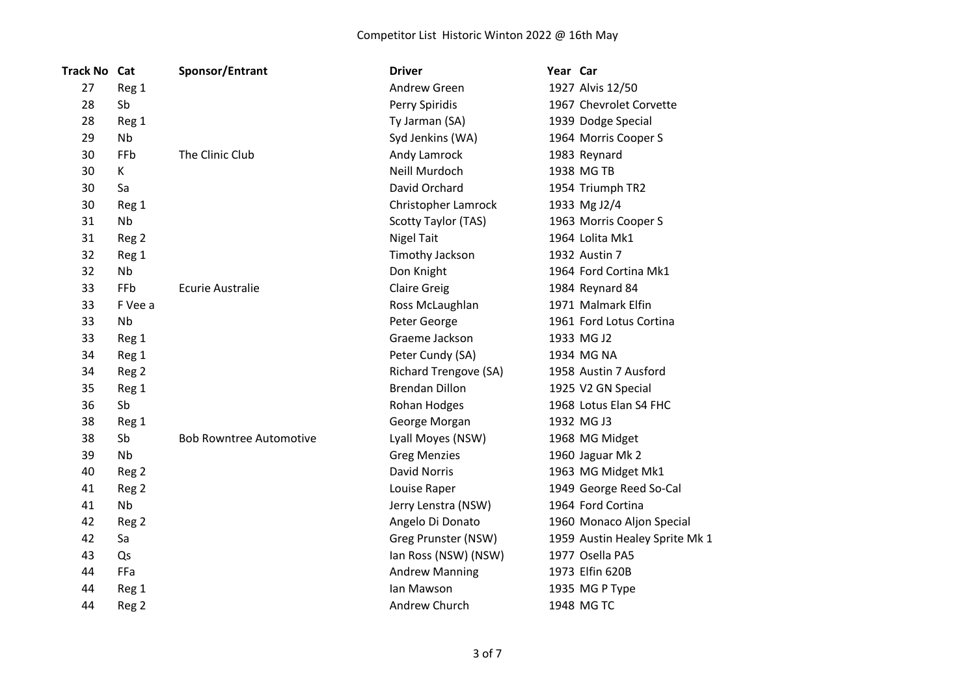| <b>Track No Cat</b> |           | Sponsor/Entrant                | <b>Driver</b>                | Year Car                       |
|---------------------|-----------|--------------------------------|------------------------------|--------------------------------|
| 27                  | Reg 1     |                                | Andrew Green                 | 1927 Alvis 12/50               |
| 28                  | Sb        |                                | Perry Spiridis               | 1967 Chevrolet Corvette        |
| 28                  | Reg 1     |                                | Ty Jarman (SA)               | 1939 Dodge Special             |
| 29                  | <b>Nb</b> |                                | Syd Jenkins (WA)             | 1964 Morris Cooper S           |
| 30                  | FFb       | The Clinic Club                | Andy Lamrock                 | 1983 Reynard                   |
| 30                  | К         |                                | Neill Murdoch                | 1938 MG TB                     |
| 30                  | Sa        |                                | David Orchard                | 1954 Triumph TR2               |
| 30                  | Reg 1     |                                | Christopher Lamrock          | 1933 Mg J2/4                   |
| 31                  | Nb        |                                | Scotty Taylor (TAS)          | 1963 Morris Cooper S           |
| 31                  | Reg 2     |                                | <b>Nigel Tait</b>            | 1964 Lolita Mk1                |
| 32                  | Reg 1     |                                | Timothy Jackson              | 1932 Austin 7                  |
| 32                  | Nb        |                                | Don Knight                   | 1964 Ford Cortina Mk1          |
| 33                  | FFb       | <b>Ecurie Australie</b>        | <b>Claire Greig</b>          | 1984 Reynard 84                |
| 33                  | F Vee a   |                                | Ross McLaughlan              | 1971 Malmark Elfin             |
| 33                  | Nb        |                                | Peter George                 | 1961 Ford Lotus Cortina        |
| 33                  | Reg 1     |                                | Graeme Jackson               | 1933 MG J2                     |
| 34                  | Reg 1     |                                | Peter Cundy (SA)             | 1934 MG NA                     |
| 34                  | Reg 2     |                                | <b>Richard Trengove (SA)</b> | 1958 Austin 7 Ausford          |
| 35                  | Reg 1     |                                | <b>Brendan Dillon</b>        | 1925 V2 GN Special             |
| 36                  | Sb        |                                | Rohan Hodges                 | 1968 Lotus Elan S4 FHC         |
| 38                  | Reg 1     |                                | George Morgan                | 1932 MG J3                     |
| 38                  | Sb        | <b>Bob Rowntree Automotive</b> | Lyall Moyes (NSW)            | 1968 MG Midget                 |
| 39                  | Nb        |                                | <b>Greg Menzies</b>          | 1960 Jaguar Mk 2               |
| 40                  | Reg 2     |                                | <b>David Norris</b>          | 1963 MG Midget Mk1             |
| 41                  | Reg 2     |                                | Louise Raper                 | 1949 George Reed So-Cal        |
| 41                  | Nb        |                                | Jerry Lenstra (NSW)          | 1964 Ford Cortina              |
| 42                  | Reg 2     |                                | Angelo Di Donato             | 1960 Monaco Aljon Special      |
| 42                  | Sa        |                                | Greg Prunster (NSW)          | 1959 Austin Healey Sprite Mk 1 |
| 43                  | Qs        |                                | Ian Ross (NSW) (NSW)         | 1977 Osella PA5                |
| 44                  | FFa       |                                | <b>Andrew Manning</b>        | 1973 Elfin 620B                |
| 44                  | Reg 1     |                                | lan Mawson                   | 1935 MG P Type                 |
| 44                  | Reg 2     |                                | Andrew Church                | 1948 MG TC                     |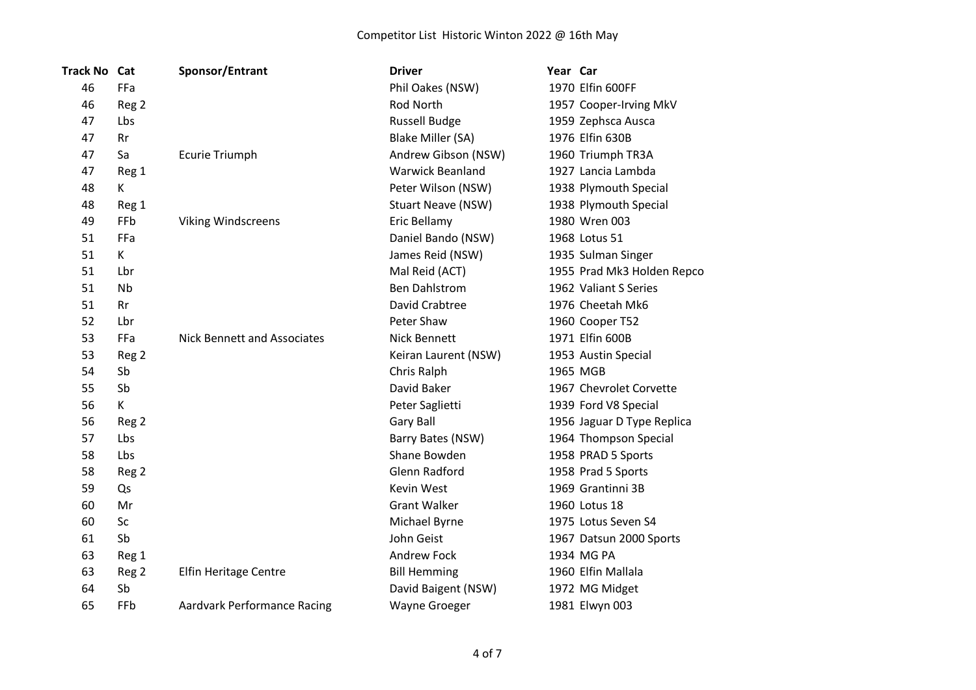| <b>Track No Cat</b> |           | Sponsor/Entrant                    | <b>Driver</b>             | Year Car                   |
|---------------------|-----------|------------------------------------|---------------------------|----------------------------|
| 46                  | FFa       |                                    | Phil Oakes (NSW)          | 1970 Elfin 600FF           |
| 46                  | Reg 2     |                                    | Rod North                 | 1957 Cooper-Irving MkV     |
| 47                  | Lbs       |                                    | <b>Russell Budge</b>      | 1959 Zephsca Ausca         |
| 47                  | <b>Rr</b> |                                    | Blake Miller (SA)         | 1976 Elfin 630B            |
| 47                  | Sa        | <b>Ecurie Triumph</b>              | Andrew Gibson (NSW)       | 1960 Triumph TR3A          |
| 47                  | Reg 1     |                                    | <b>Warwick Beanland</b>   | 1927 Lancia Lambda         |
| 48                  | К         |                                    | Peter Wilson (NSW)        | 1938 Plymouth Special      |
| 48                  | Reg 1     |                                    | <b>Stuart Neave (NSW)</b> | 1938 Plymouth Special      |
| 49                  | FFb       | <b>Viking Windscreens</b>          | Eric Bellamy              | 1980 Wren 003              |
| 51                  | FFa       |                                    | Daniel Bando (NSW)        | 1968 Lotus 51              |
| 51                  | K         |                                    | James Reid (NSW)          | 1935 Sulman Singer         |
| 51                  | Lbr       |                                    | Mal Reid (ACT)            | 1955 Prad Mk3 Holden Repco |
| 51                  | <b>Nb</b> |                                    | <b>Ben Dahlstrom</b>      | 1962 Valiant S Series      |
| 51                  | Rr        |                                    | David Crabtree            | 1976 Cheetah Mk6           |
| 52                  | Lbr       |                                    | Peter Shaw                | 1960 Cooper T52            |
| 53                  | FFa       | <b>Nick Bennett and Associates</b> | Nick Bennett              | 1971 Elfin 600B            |
| 53                  | Reg 2     |                                    | Keiran Laurent (NSW)      | 1953 Austin Special        |
| 54                  | Sb        |                                    | Chris Ralph               | 1965 MGB                   |
| 55                  | Sb        |                                    | David Baker               | 1967 Chevrolet Corvette    |
| 56                  | K         |                                    | Peter Saglietti           | 1939 Ford V8 Special       |
| 56                  | Reg 2     |                                    | <b>Gary Ball</b>          | 1956 Jaguar D Type Replica |
| 57                  | Lbs       |                                    | Barry Bates (NSW)         | 1964 Thompson Special      |
| 58                  | Lbs       |                                    | Shane Bowden              | 1958 PRAD 5 Sports         |
| 58                  | Reg 2     |                                    | Glenn Radford             | 1958 Prad 5 Sports         |
| 59                  | Qs        |                                    | Kevin West                | 1969 Grantinni 3B          |
| 60                  | Mr        |                                    | <b>Grant Walker</b>       | 1960 Lotus 18              |
| 60                  | Sc        |                                    | Michael Byrne             | 1975 Lotus Seven S4        |
| 61                  | Sb        |                                    | John Geist                | 1967 Datsun 2000 Sports    |
| 63                  | Reg 1     |                                    | Andrew Fock               | 1934 MG PA                 |
| 63                  | Reg 2     | <b>Elfin Heritage Centre</b>       | <b>Bill Hemming</b>       | 1960 Elfin Mallala         |
| 64                  | Sb        |                                    | David Baigent (NSW)       | 1972 MG Midget             |
| 65                  | FFb       | <b>Aardvark Performance Racing</b> | <b>Wayne Groeger</b>      | 1981 Elwyn 003             |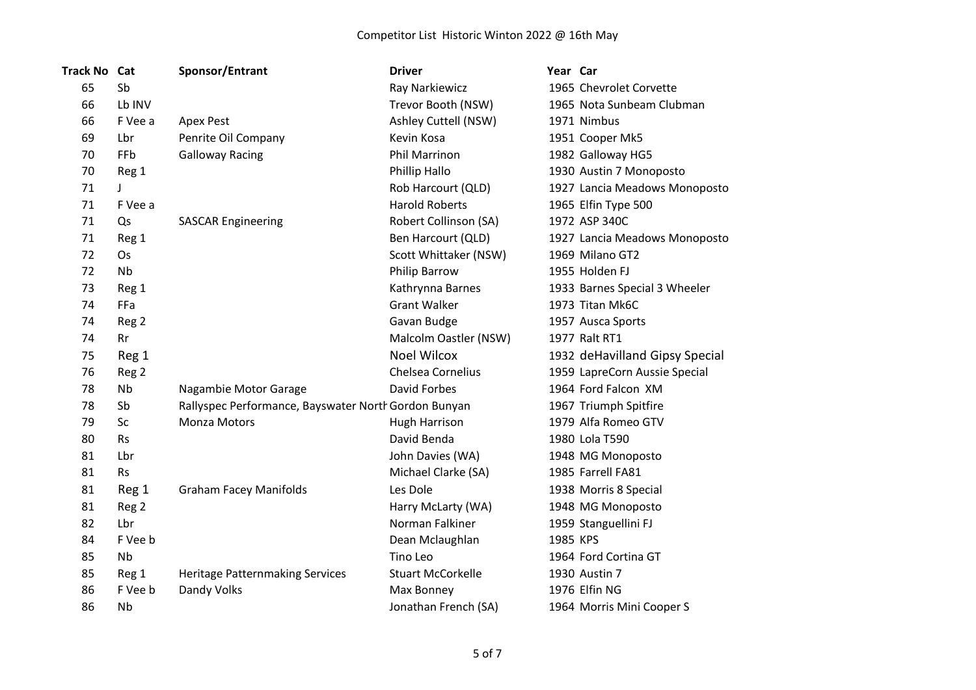| <b>Track No Cat</b> |              | Sponsor/Entrant                                      | <b>Driver</b>            | Year Car |                                |
|---------------------|--------------|------------------------------------------------------|--------------------------|----------|--------------------------------|
| 65                  | Sb           |                                                      | Ray Narkiewicz           |          | 1965 Chevrolet Corvette        |
| 66                  | Lb INV       |                                                      | Trevor Booth (NSW)       |          | 1965 Nota Sunbeam Clubman      |
| 66                  | F Vee a      | Apex Pest                                            | Ashley Cuttell (NSW)     |          | 1971 Nimbus                    |
| 69                  | Lbr          | Penrite Oil Company                                  | Kevin Kosa               |          | 1951 Cooper Mk5                |
| 70                  | FFb          | <b>Galloway Racing</b>                               | Phil Marrinon            |          | 1982 Galloway HG5              |
| 70                  | Reg 1        |                                                      | Phillip Hallo            |          | 1930 Austin 7 Monoposto        |
| 71                  | $\mathsf{I}$ |                                                      | Rob Harcourt (QLD)       |          | 1927 Lancia Meadows Monoposto  |
| 71                  | F Vee a      |                                                      | <b>Harold Roberts</b>    |          | 1965 Elfin Type 500            |
| 71                  | Qs           | <b>SASCAR Engineering</b>                            | Robert Collinson (SA)    |          | 1972 ASP 340C                  |
| 71                  | Reg 1        |                                                      | Ben Harcourt (QLD)       |          | 1927 Lancia Meadows Monoposto  |
| 72                  | Os           |                                                      | Scott Whittaker (NSW)    |          | 1969 Milano GT2                |
| 72                  | <b>Nb</b>    |                                                      | <b>Philip Barrow</b>     |          | 1955 Holden FJ                 |
| 73                  | Reg 1        |                                                      | Kathrynna Barnes         |          | 1933 Barnes Special 3 Wheeler  |
| 74                  | FFa          |                                                      | <b>Grant Walker</b>      |          | 1973 Titan Mk6C                |
| 74                  | Reg 2        |                                                      | Gavan Budge              |          | 1957 Ausca Sports              |
| 74                  | <b>Rr</b>    |                                                      | Malcolm Oastler (NSW)    |          | 1977 Ralt RT1                  |
| 75                  | Reg 1        |                                                      | <b>Noel Wilcox</b>       |          | 1932 deHavilland Gipsy Special |
| 76                  | Reg 2        |                                                      | Chelsea Cornelius        |          | 1959 LapreCorn Aussie Special  |
| 78                  | Nb           | Nagambie Motor Garage                                | David Forbes             |          | 1964 Ford Falcon XM            |
| 78                  | Sb           | Rallyspec Performance, Bayswater North Gordon Bunyan |                          |          | 1967 Triumph Spitfire          |
| 79                  | Sc           | Monza Motors                                         | Hugh Harrison            |          | 1979 Alfa Romeo GTV            |
| 80                  | <b>Rs</b>    |                                                      | David Benda              |          | 1980 Lola T590                 |
| 81                  | Lbr          |                                                      | John Davies (WA)         |          | 1948 MG Monoposto              |
| 81                  | <b>Rs</b>    |                                                      | Michael Clarke (SA)      |          | 1985 Farrell FA81              |
| 81                  | Reg 1        | <b>Graham Facey Manifolds</b>                        | Les Dole                 |          | 1938 Morris 8 Special          |
| 81                  | Reg 2        |                                                      | Harry McLarty (WA)       |          | 1948 MG Monoposto              |
| 82                  | Lbr          |                                                      | Norman Falkiner          |          | 1959 Stanguellini FJ           |
| 84                  | F Vee b      |                                                      | Dean Mclaughlan          | 1985 KPS |                                |
| 85                  | <b>Nb</b>    |                                                      | Tino Leo                 |          | 1964 Ford Cortina GT           |
| 85                  | Reg 1        | <b>Heritage Patternmaking Services</b>               | <b>Stuart McCorkelle</b> |          | 1930 Austin 7                  |
| 86                  | F Vee b      | Dandy Volks                                          | Max Bonney               |          | 1976 Elfin NG                  |
| 86                  | <b>Nb</b>    |                                                      | Jonathan French (SA)     |          | 1964 Morris Mini Cooper S      |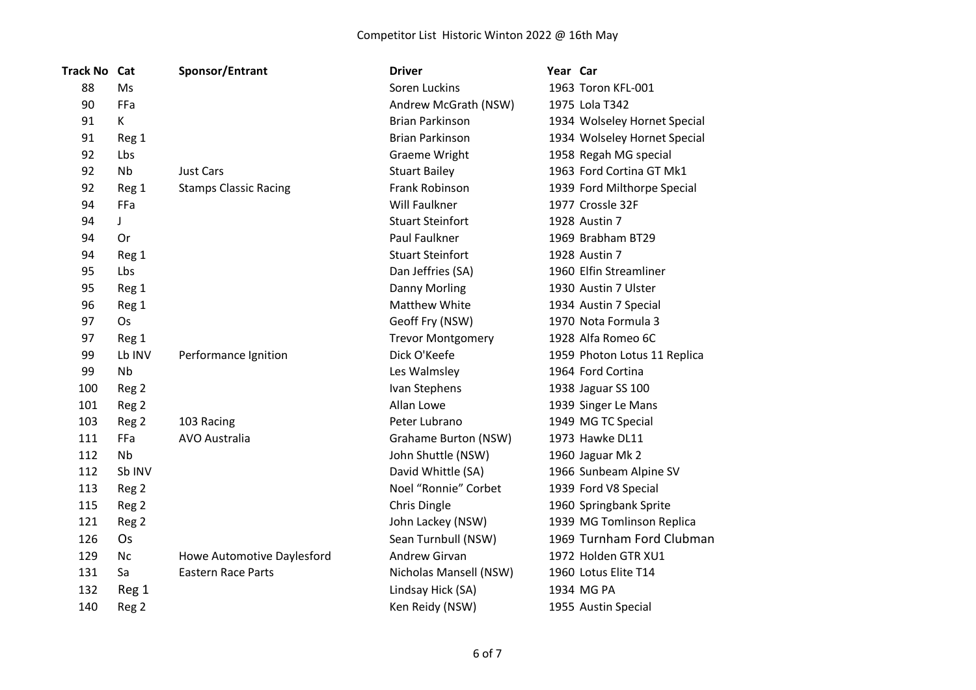| <b>Track No Cat</b> |           | Sponsor/Entrant              | <b>Driver</b>               | Year Car                     |
|---------------------|-----------|------------------------------|-----------------------------|------------------------------|
| 88                  | Ms        |                              | Soren Luckins               | 1963 Toron KFL-001           |
| 90                  | FFa       |                              | Andrew McGrath (NSW)        | 1975 Lola T342               |
| 91                  | K         |                              | <b>Brian Parkinson</b>      | 1934 Wolseley Hornet Special |
| 91                  | Reg 1     |                              | <b>Brian Parkinson</b>      | 1934 Wolseley Hornet Special |
| 92                  | Lbs       |                              | <b>Graeme Wright</b>        | 1958 Regah MG special        |
| 92                  | <b>Nb</b> | <b>Just Cars</b>             | <b>Stuart Bailey</b>        | 1963 Ford Cortina GT Mk1     |
| 92                  | Reg 1     | <b>Stamps Classic Racing</b> | Frank Robinson              | 1939 Ford Milthorpe Special  |
| 94                  | FFa       |                              | Will Faulkner               | 1977 Crossle 32F             |
| 94                  | J         |                              | <b>Stuart Steinfort</b>     | 1928 Austin 7                |
| 94                  | 0r        |                              | Paul Faulkner               | 1969 Brabham BT29            |
| 94                  | Reg 1     |                              | <b>Stuart Steinfort</b>     | 1928 Austin 7                |
| 95                  | Lbs       |                              | Dan Jeffries (SA)           | 1960 Elfin Streamliner       |
| 95                  | Reg 1     |                              | Danny Morling               | 1930 Austin 7 Ulster         |
| 96                  | Reg 1     |                              | Matthew White               | 1934 Austin 7 Special        |
| 97                  | Os        |                              | Geoff Fry (NSW)             | 1970 Nota Formula 3          |
| 97                  | Reg 1     |                              | <b>Trevor Montgomery</b>    | 1928 Alfa Romeo 6C           |
| 99                  | Lb INV    | Performance Ignition         | Dick O'Keefe                | 1959 Photon Lotus 11 Replica |
| 99                  | <b>Nb</b> |                              | Les Walmsley                | 1964 Ford Cortina            |
| 100                 | Reg 2     |                              | Ivan Stephens               | 1938 Jaguar SS 100           |
| 101                 | Reg 2     |                              | Allan Lowe                  | 1939 Singer Le Mans          |
| 103                 | Reg 2     | 103 Racing                   | Peter Lubrano               | 1949 MG TC Special           |
| 111                 | FFa       | <b>AVO Australia</b>         | <b>Grahame Burton (NSW)</b> | 1973 Hawke DL11              |
| 112                 | Nb        |                              | John Shuttle (NSW)          | 1960 Jaguar Mk 2             |
| 112                 | Sb INV    |                              | David Whittle (SA)          | 1966 Sunbeam Alpine SV       |
| 113                 | Reg 2     |                              | Noel "Ronnie" Corbet        | 1939 Ford V8 Special         |
| 115                 | Reg 2     |                              | Chris Dingle                | 1960 Springbank Sprite       |
| 121                 | Reg 2     |                              | John Lackey (NSW)           | 1939 MG Tomlinson Replica    |
| 126                 | Os        |                              | Sean Turnbull (NSW)         | 1969 Turnham Ford Clubman    |
| 129                 | Nc        | Howe Automotive Daylesford   | Andrew Girvan               | 1972 Holden GTR XU1          |
| 131                 | Sa        | <b>Eastern Race Parts</b>    | Nicholas Mansell (NSW)      | 1960 Lotus Elite T14         |
| 132                 | Reg 1     |                              | Lindsay Hick (SA)           | 1934 MG PA                   |
| 140                 | Reg 2     |                              | Ken Reidy (NSW)             | 1955 Austin Special          |